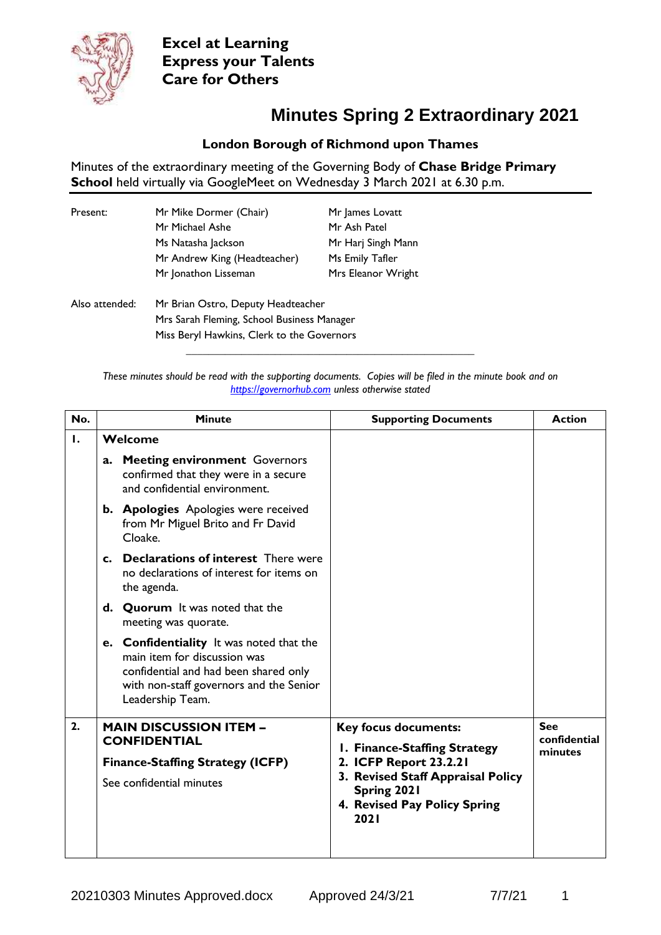

**Excel at Learning Express your Talents Care for Others**

## **Minutes Spring 2 Extraordinary 2021**

## **London Borough of Richmond upon Thames**

Minutes of the extraordinary meeting of the Governing Body of **Chase Bridge Primary School** held virtually via GoogleMeet on Wednesday 3 March 2021 at 6.30 p.m.

| Present: | Mr Mike Dormer (Chair)       | Mr James Lovatt    |
|----------|------------------------------|--------------------|
|          | Mr Michael Ashe              | Mr Ash Patel       |
|          | Ms Natasha Jackson           | Mr Harj Singh Mann |
|          | Mr Andrew King (Headteacher) | Ms Emily Tafler    |
|          | Mr Jonathon Lisseman         | Mrs Eleanor Wright |
|          |                              |                    |

Also attended: Mr Brian Ostro, Deputy Headteacher Mrs Sarah Fleming, School Business Manager Miss Beryl Hawkins, Clerk to the Governors

> *These minutes should be read with the supporting documents. Copies will be filed in the minute book and on [https://governorhub.com](https://governorhub.com/) unless otherwise stated*

**\_\_\_\_\_\_\_\_\_\_\_\_\_\_\_\_\_\_\_\_\_\_\_\_\_\_\_\_\_\_\_\_\_\_\_\_\_\_\_\_\_\_\_\_\_\_\_\_\_\_\_\_**

| No. | <b>Minute</b>                                                                                                                                                                    | <b>Supporting Documents</b>                                                              | <b>Action</b>           |
|-----|----------------------------------------------------------------------------------------------------------------------------------------------------------------------------------|------------------------------------------------------------------------------------------|-------------------------|
| Ι.  | Welcome                                                                                                                                                                          |                                                                                          |                         |
|     | <b>Meeting environment Governors</b><br>a.<br>confirmed that they were in a secure<br>and confidential environment.                                                              |                                                                                          |                         |
|     | b. Apologies Apologies were received<br>from Mr Miguel Brito and Fr David<br>Cloake.                                                                                             |                                                                                          |                         |
|     | c. Declarations of interest There were<br>no declarations of interest for items on<br>the agenda.                                                                                |                                                                                          |                         |
|     | d. Quorum It was noted that the<br>meeting was quorate.                                                                                                                          |                                                                                          |                         |
|     | e. Confidentiality It was noted that the<br>main item for discussion was<br>confidential and had been shared only<br>with non-staff governors and the Senior<br>Leadership Team. |                                                                                          |                         |
| 2.  | <b>MAIN DISCUSSION ITEM -</b>                                                                                                                                                    | <b>Key focus documents:</b>                                                              | <b>See</b>              |
|     | <b>CONFIDENTIAL</b>                                                                                                                                                              | I. Finance-Staffing Strategy                                                             | confidential<br>minutes |
|     | <b>Finance-Staffing Strategy (ICFP)</b>                                                                                                                                          | 2. ICFP Report 23.2.21                                                                   |                         |
|     | See confidential minutes                                                                                                                                                         | 3. Revised Staff Appraisal Policy<br>Spring 2021<br>4. Revised Pay Policy Spring<br>2021 |                         |
|     |                                                                                                                                                                                  |                                                                                          |                         |